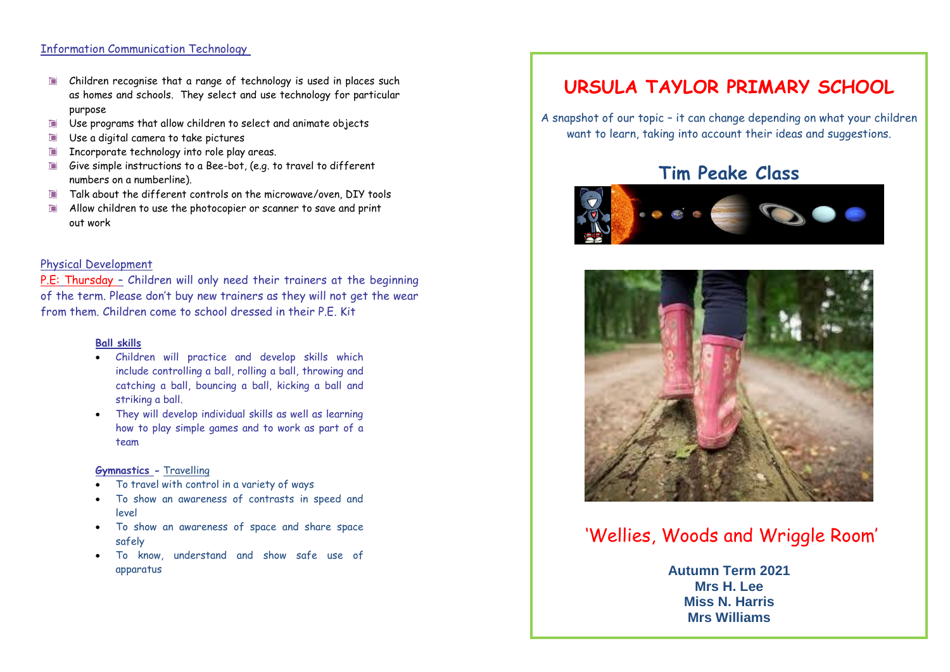### Information Communication Technology

- Children recognise that a range of technology is used in places such  $\Box$ as homes and schools. They select and use technology for particular purpose
- $\Box$ Use programs that allow children to select and animate objects
- $\Box$ Use a digital camera to take pictures
- Incorporate technology into role play areas.
- Give simple instructions to a Bee-bot, (e.g. to travel to different numbers on a numberline).
- Talk about the different controls on the microwave/oven, DIY tools  $\Box$
- Allow children to use the photocopier or scanner to save and print out work

### Physical Development

P.E: Thursday – Children will only need their trainers at the beginning of the term. Please don't buy new trainers as they will not get the wear from them. Children come to school dressed in their P.E. Kit

#### **Ball skills**

- Children will practice and develop skills which include controlling a ball, rolling a ball, throwing and catching a ball, bouncing a ball, kicking a ball and striking a ball.
- They will develop individual skills as well as learning how to play simple games and to work as part of a team

#### **Gymnastics -** Travelling

- To travel with control in a variety of ways
- To show an awareness of contrasts in speed and level
- To show an awareness of space and share space safely
- To know, understand and show safe use of apparatus

# **URSULA TAYLOR PRIMARY SCHOOL**

A snapshot of our topic – it can change depending on what your children want to learn, taking into account their ideas and suggestions.

## **Tim Peake Class**





## 'Wellies, Woods and Wriggle Room'

**Mathematical Development** \* Recite numbers to 10, then 20. Rehearse counting back from 10/20 **Miss N. Harris Autumn Term 2021 Mrs H. Lee Mrs Williams**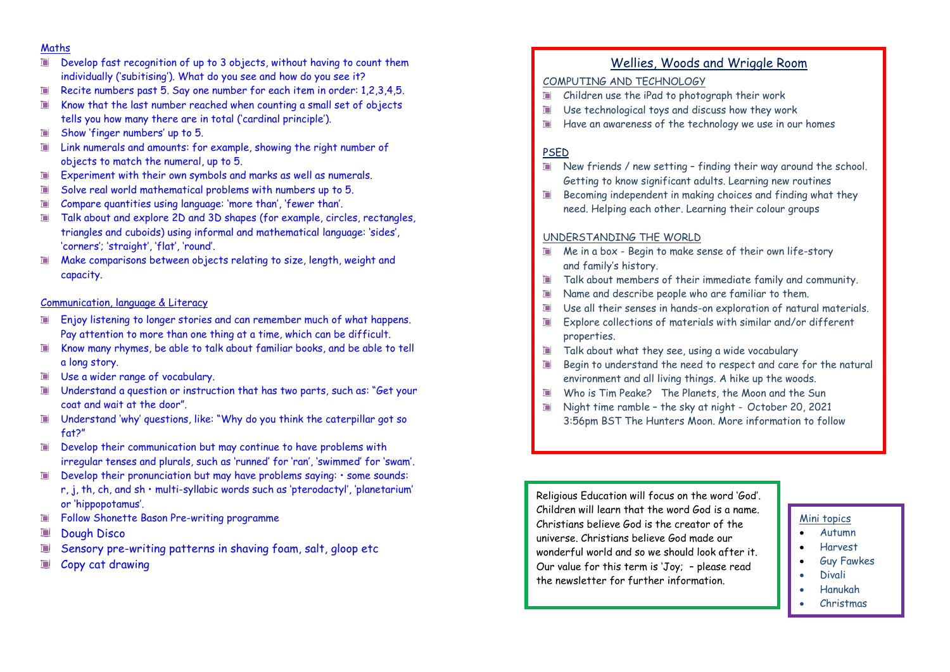### Maths

- Develop fast recognition of up to 3 objects, without having to count them  $\Box$ individually ('subitising'). What do you see and how do you see it?
- Recite numbers past 5. Say one number for each item in order: 1,2,3,4,5. D
- Know that the last number reached when counting a small set of objects  $\Box$ tells you how many there are in total ('cardinal principle').
- Show 'finger numbers' up to 5.  $\Box$
- Link numerals and amounts: for example, showing the right number of  $\Box$ objects to match the numeral, up to 5.
- Experiment with their own symbols and marks as well as numerals. T.
- Solve real world mathematical problems with numbers up to 5.  $\Box$
- Compare quantities using language: 'more than', 'fewer than'.  $\Box$
- Talk about and explore 2D and 3D shapes (for example, circles, rectangles,  $\Box$ triangles and cuboids) using informal and mathematical language: 'sides', 'corners'; 'straight', 'flat', 'round'.
- Make comparisons between objects relating to size, length, weight and  $\Box$ capacity.

#### Communication, language & Literacy

- Enjoy listening to longer stories and can remember much of what happens. Pay attention to more than one thing at a time, which can be difficult.
- Know many rhymes, be able to talk about familiar books, and be able to tell  $\Box$ a long story.
- Use a wider range of vocabulary.
- Understand a question or instruction that has two parts, such as: "Get your **T** coat and wait at the door".
- Understand 'why' questions, like: "Why do you think the caterpillar got so  $\Box$ fat?"
- Develop their communication but may continue to have problems with T I irregular tenses and plurals, such as 'runned' for 'ran', 'swimmed' for 'swam'.
- Develop their pronunciation but may have problems saying: some sounds:  $\Box$ r, j, th, ch, and sh • multi-syllabic words such as 'pterodactyl', 'planetarium' or 'hippopotamus'.
- Follow Shonette Bason Pre-writing programme  $\blacksquare$
- Dough Disco  $\Box$
- Sensory pre-writing patterns in shaving foam, salt, gloop etc
- Copy cat drawing a

## Wellies, Woods and Wriggle Room

## COMPUTING AND TECHNOLOGY

- Children use the iPad to photograph their work
- Use technological toys and discuss how they work
- Have an awareness of the technology we use in our homes  $\Box$

## PSED

- New friends / new setting finding their way around the school. Getting to know significant adults. Learning new routines
- Becoming independent in making choices and finding what they need. Helping each other. Learning their colour groups

#### UNDERSTANDING THE WORLD

- Me in a box Begin to make sense of their own life-story and family's history.
- Talk about members of their immediate family and community.
- Name and describe people who are familiar to them.
- Use all their senses in hands-on exploration of natural materials.
- Explore collections of materials with similar and/or different properties.
- Talk about what they see, using a wide vocabulary  $\Box$
- Begin to understand the need to respect and care for the natural environment and all living things. A hike up the woods.
- Who is Tim Peake? The Planets, the Moon and the Sun
- Night time ramble the sky at night October 20, 2021 3:56pm BST The Hunters Moon. More information to follow

Religious Education will focus on the word 'God'. Children will learn that the word God is a name. Christians believe God is the creator of the universe. Christians believe God made our wonderful world and so we should look after it. Our value for this term is 'Joy; – please read the newsletter for further information.

#### Mini topics

- Autumn
- Harvest
- Guy Fawkes
- Divali
- Hanukah
- Christmas